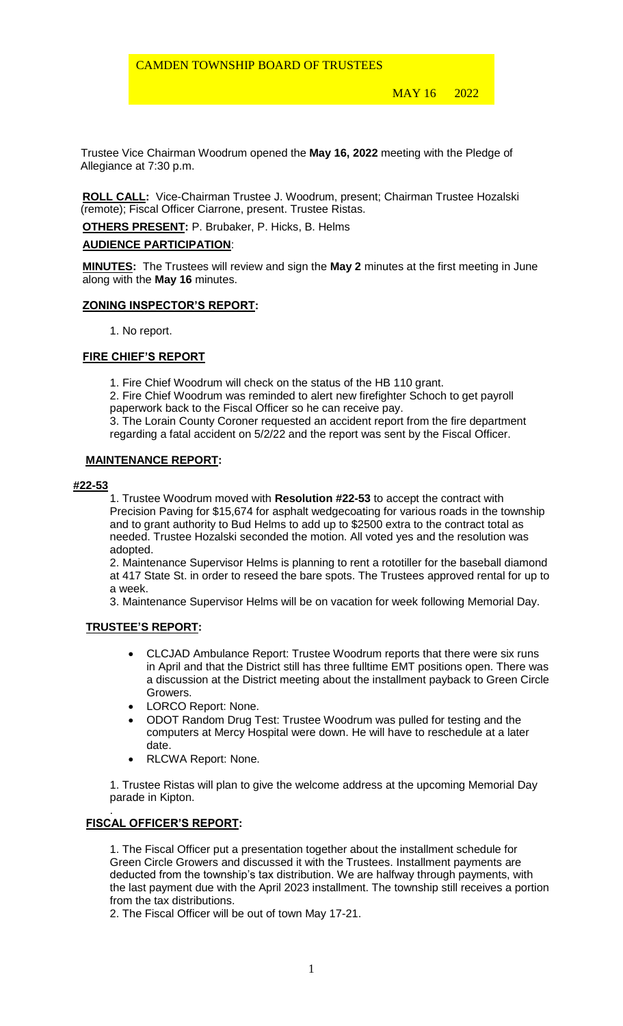MAY 16 2022

 Trustee Vice Chairman Woodrum opened the **May 16, 2022** meeting with the Pledge of Allegiance at 7:30 p.m.

**ROLL CALL:** Vice-Chairman Trustee J. Woodrum, present; Chairman Trustee Hozalski (remote); Fiscal Officer Ciarrone, present. Trustee Ristas.

**OTHERS PRESENT:** P. Brubaker, P. Hicks, B. Helms

## **AUDIENCE PARTICIPATION**:

**MINUTES:** The Trustees will review and sign the **May 2** minutes at the first meeting in June along with the **May 16** minutes.

## **ZONING INSPECTOR'S REPORT:**

1. No report.

## **FIRE CHIEF'S REPORT**

1. Fire Chief Woodrum will check on the status of the HB 110 grant.

2. Fire Chief Woodrum was reminded to alert new firefighter Schoch to get payroll paperwork back to the Fiscal Officer so he can receive pay.

3. The Lorain County Coroner requested an accident report from the fire department regarding a fatal accident on 5/2/22 and the report was sent by the Fiscal Officer.

#### **MAINTENANCE REPORT:**

## **#22-53**

1. Trustee Woodrum moved with **Resolution #22-53** to accept the contract with Precision Paving for \$15,674 for asphalt wedgecoating for various roads in the township and to grant authority to Bud Helms to add up to \$2500 extra to the contract total as needed. Trustee Hozalski seconded the motion. All voted yes and the resolution was adopted.

2. Maintenance Supervisor Helms is planning to rent a rototiller for the baseball diamond at 417 State St. in order to reseed the bare spots. The Trustees approved rental for up to a week.

3. Maintenance Supervisor Helms will be on vacation for week following Memorial Day.

# **TRUSTEE'S REPORT:**

- CLCJAD Ambulance Report: Trustee Woodrum reports that there were six runs in April and that the District still has three fulltime EMT positions open. There was a discussion at the District meeting about the installment payback to Green Circle Growers.
- LORCO Report: None.
- ODOT Random Drug Test: Trustee Woodrum was pulled for testing and the computers at Mercy Hospital were down. He will have to reschedule at a later date.
- RLCWA Report: None.

1. Trustee Ristas will plan to give the welcome address at the upcoming Memorial Day parade in Kipton.

#### . **FISCAL OFFICER'S REPORT:**

1. The Fiscal Officer put a presentation together about the installment schedule for Green Circle Growers and discussed it with the Trustees. Installment payments are deducted from the township's tax distribution. We are halfway through payments, with the last payment due with the April 2023 installment. The township still receives a portion from the tax distributions.

2. The Fiscal Officer will be out of town May 17-21.